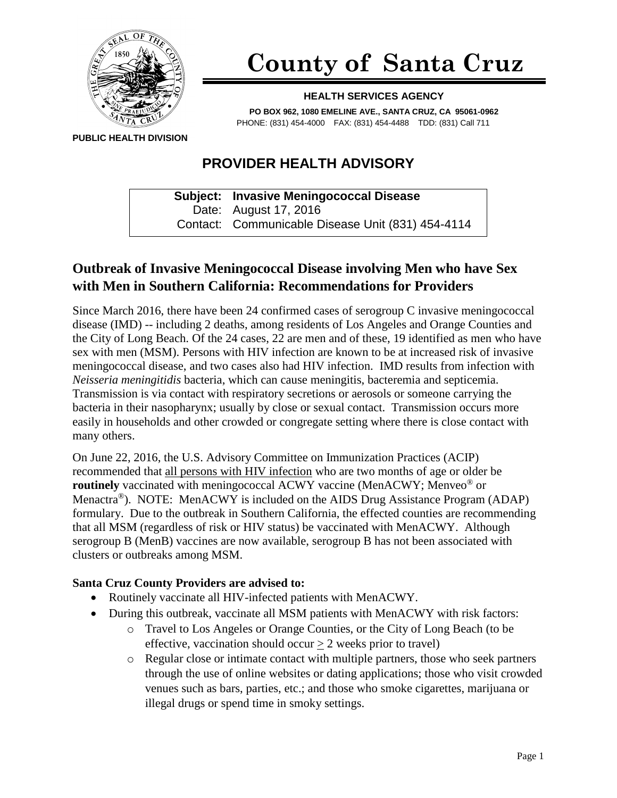

# **County of Santa Cruz**

#### **HEALTH SERVICES AGENCY**

**PO BOX 962, 1080 EMELINE AVE., SANTA CRUZ, CA 95061-0962** PHONE: (831) 454-4000 FAX: (831) 454-4488 TDD: (831) Call 711

**PUBLIC HEALTH DIVISION**

## **PROVIDER HEALTH ADVISORY**

**Subject: Invasive Meningococcal Disease** Date: August 17, 2016 Contact: Communicable Disease Unit (831) 454-4114

## **Outbreak of Invasive Meningococcal Disease involving Men who have Sex with Men in Southern California: Recommendations for Providers**

Since March 2016, there have been 24 confirmed cases of serogroup C invasive meningococcal disease (IMD) -- including 2 deaths, among residents of Los Angeles and Orange Counties and the City of Long Beach. Of the 24 cases, 22 are men and of these, 19 identified as men who have sex with men (MSM). Persons with HIV infection are known to be at increased risk of invasive meningococcal disease, and two cases also had HIV infection. IMD results from infection with *Neisseria meningitidis* bacteria, which can cause meningitis, bacteremia and septicemia. Transmission is via contact with respiratory secretions or aerosols or someone carrying the bacteria in their nasopharynx; usually by close or sexual contact. Transmission occurs more easily in households and other crowded or congregate setting where there is close contact with many others.

On June 22, 2016, the U.S. Advisory Committee on Immunization Practices (ACIP) recommended that all persons with HIV infection who are two months of age or older be **routinely** vaccinated with meningococcal ACWY vaccine (MenACWY; Menveo<sup>®</sup> or Menactra<sup>®</sup>). NOTE: MenACWY is included on the AIDS Drug Assistance Program (ADAP) formulary. Due to the outbreak in Southern California, the effected counties are recommending that all MSM (regardless of risk or HIV status) be vaccinated with MenACWY. Although serogroup B (MenB) vaccines are now available, serogroup B has not been associated with clusters or outbreaks among MSM.

### **Santa Cruz County Providers are advised to:**

- Routinely vaccinate all HIV-infected patients with MenACWY.
- During this outbreak, vaccinate all MSM patients with MenACWY with risk factors:
	- o Travel to Los Angeles or Orange Counties, or the City of Long Beach (to be effective, vaccination should occur  $> 2$  weeks prior to travel)
	- o Regular close or intimate contact with multiple partners, those who seek partners through the use of online websites or dating applications; those who visit crowded venues such as bars, parties, etc.; and those who smoke cigarettes, marijuana or illegal drugs or spend time in smoky settings.